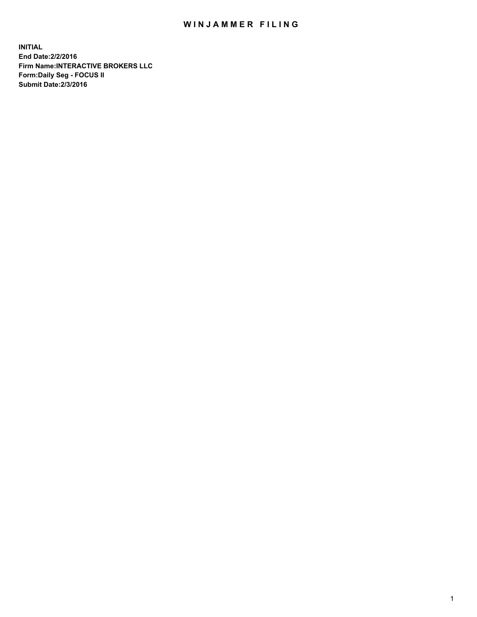## WIN JAMMER FILING

**INITIAL End Date:2/2/2016 Firm Name:INTERACTIVE BROKERS LLC Form:Daily Seg - FOCUS II Submit Date:2/3/2016**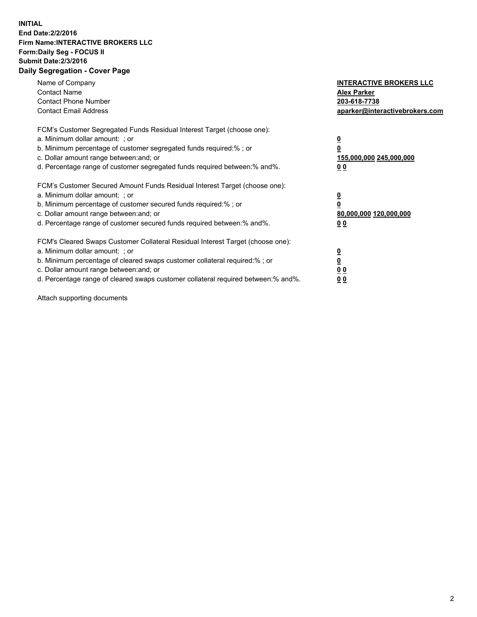## **INITIAL End Date:2/2/2016 Firm Name:INTERACTIVE BROKERS LLC Form:Daily Seg - FOCUS II Submit Date:2/3/2016 Daily Segregation - Cover Page**

| Name of Company<br><b>Contact Name</b><br><b>Contact Phone Number</b><br><b>Contact Email Address</b>                                                                                                                                                                                                                          | <b>INTERACTIVE BROKERS LLC</b><br><b>Alex Parker</b><br>203-618-7738<br>aparker@interactivebrokers.com |
|--------------------------------------------------------------------------------------------------------------------------------------------------------------------------------------------------------------------------------------------------------------------------------------------------------------------------------|--------------------------------------------------------------------------------------------------------|
| FCM's Customer Segregated Funds Residual Interest Target (choose one):<br>a. Minimum dollar amount: ; or<br>b. Minimum percentage of customer segregated funds required:%; or<br>c. Dollar amount range between: and; or<br>d. Percentage range of customer segregated funds required between:% and%.                          | <u>0</u><br>155,000,000 245,000,000<br><u>00</u>                                                       |
| FCM's Customer Secured Amount Funds Residual Interest Target (choose one):<br>a. Minimum dollar amount: ; or<br>b. Minimum percentage of customer secured funds required:%; or<br>c. Dollar amount range between: and; or<br>d. Percentage range of customer secured funds required between:% and%.                            | <u>0</u><br>80,000,000 120,000,000<br>0 <sub>0</sub>                                                   |
| FCM's Cleared Swaps Customer Collateral Residual Interest Target (choose one):<br>a. Minimum dollar amount: ; or<br>b. Minimum percentage of cleared swaps customer collateral required:% ; or<br>c. Dollar amount range between: and; or<br>d. Percentage range of cleared swaps customer collateral required between:% and%. | ₫<br>0 <sub>0</sub><br>0 <sub>0</sub>                                                                  |

Attach supporting documents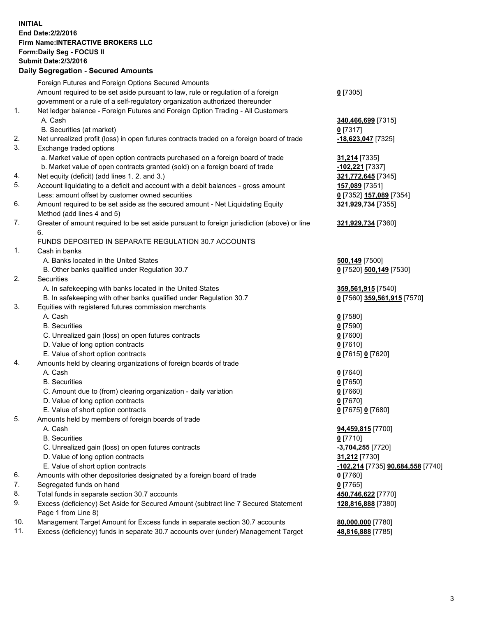## **INITIAL End Date:2/2/2016 Firm Name:INTERACTIVE BROKERS LLC Form:Daily Seg - FOCUS II Submit Date:2/3/2016 Daily Segregation - Secured Amounts**

|     | Foreign Futures and Foreign Options Secured Amounts                                         |                                   |
|-----|---------------------------------------------------------------------------------------------|-----------------------------------|
|     | Amount required to be set aside pursuant to law, rule or regulation of a foreign            | $0$ [7305]                        |
|     | government or a rule of a self-regulatory organization authorized thereunder                |                                   |
| 1.  | Net ledger balance - Foreign Futures and Foreign Option Trading - All Customers             |                                   |
|     | A. Cash                                                                                     | 340,466,699 [7315]                |
|     | B. Securities (at market)                                                                   | $0$ [7317]                        |
| 2.  | Net unrealized profit (loss) in open futures contracts traded on a foreign board of trade   | -18,623,047 [7325]                |
| 3.  | Exchange traded options                                                                     |                                   |
|     | a. Market value of open option contracts purchased on a foreign board of trade              | 31,214 [7335]                     |
|     | b. Market value of open contracts granted (sold) on a foreign board of trade                | -102,221 [7337]                   |
| 4.  | Net equity (deficit) (add lines 1.2. and 3.)                                                | 321,772,645 [7345]                |
| 5.  | Account liquidating to a deficit and account with a debit balances - gross amount           | 157,089 [7351]                    |
|     | Less: amount offset by customer owned securities                                            | 0 [7352] 157,089 [7354]           |
| 6.  | Amount required to be set aside as the secured amount - Net Liquidating Equity              | 321,929,734 [7355]                |
|     | Method (add lines 4 and 5)                                                                  |                                   |
| 7.  | Greater of amount required to be set aside pursuant to foreign jurisdiction (above) or line |                                   |
|     |                                                                                             | 321,929,734 [7360]                |
|     | 6.                                                                                          |                                   |
|     | FUNDS DEPOSITED IN SEPARATE REGULATION 30.7 ACCOUNTS                                        |                                   |
| 1.  | Cash in banks                                                                               |                                   |
|     | A. Banks located in the United States                                                       | 500,149 [7500]                    |
|     | B. Other banks qualified under Regulation 30.7                                              | 0 [7520] 500,149 [7530]           |
| 2.  | Securities                                                                                  |                                   |
|     | A. In safekeeping with banks located in the United States                                   | 359,561,915 [7540]                |
|     | B. In safekeeping with other banks qualified under Regulation 30.7                          | 0 [7560] 359,561,915 [7570]       |
| 3.  | Equities with registered futures commission merchants                                       |                                   |
|     | A. Cash                                                                                     | $0$ [7580]                        |
|     | <b>B.</b> Securities                                                                        | $0$ [7590]                        |
|     | C. Unrealized gain (loss) on open futures contracts                                         | $0$ [7600]                        |
|     | D. Value of long option contracts                                                           | $0$ [7610]                        |
|     | E. Value of short option contracts                                                          | 0 [7615] 0 [7620]                 |
| 4.  | Amounts held by clearing organizations of foreign boards of trade                           |                                   |
|     | A. Cash                                                                                     | $0$ [7640]                        |
|     | <b>B.</b> Securities                                                                        | $0$ [7650]                        |
|     | C. Amount due to (from) clearing organization - daily variation                             | $0$ [7660]                        |
|     | D. Value of long option contracts                                                           | $0$ [7670]                        |
|     | E. Value of short option contracts                                                          | 0 [7675] 0 [7680]                 |
| 5.  | Amounts held by members of foreign boards of trade                                          |                                   |
|     | A. Cash                                                                                     | 94,459,815 [7700]                 |
|     | <b>B.</b> Securities                                                                        | $0$ [7710]                        |
|     | C. Unrealized gain (loss) on open futures contracts                                         | -3,704,255 [7720]                 |
|     | D. Value of long option contracts                                                           | 31,212 [7730]                     |
|     | E. Value of short option contracts                                                          | -102,214 [7735] 90,684,558 [7740] |
| 6.  | Amounts with other depositories designated by a foreign board of trade                      | $0$ [7760]                        |
| 7.  | Segregated funds on hand                                                                    | $0$ [7765]                        |
| 8.  | Total funds in separate section 30.7 accounts                                               | 450,746,622 [7770]                |
| 9.  | Excess (deficiency) Set Aside for Secured Amount (subtract line 7 Secured Statement         | 128,816,888 [7380]                |
|     | Page 1 from Line 8)                                                                         |                                   |
| 10. | Management Target Amount for Excess funds in separate section 30.7 accounts                 | 80,000,000 [7780]                 |
| 11. | Excess (deficiency) funds in separate 30.7 accounts over (under) Management Target          | 48,816,888 [7785]                 |
|     |                                                                                             |                                   |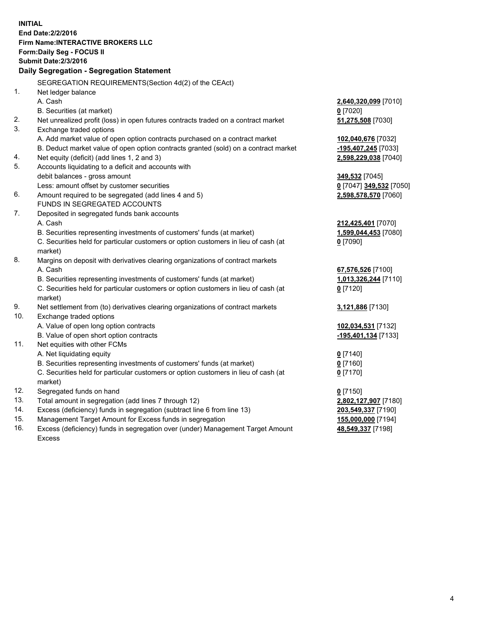**INITIAL End Date:2/2/2016 Firm Name:INTERACTIVE BROKERS LLC Form:Daily Seg - FOCUS II Submit Date:2/3/2016 Daily Segregation - Segregation Statement** SEGREGATION REQUIREMENTS(Section 4d(2) of the CEAct) 1. Net ledger balance A. Cash **2,640,320,099** [7010] B. Securities (at market) **0** [7020] 2. Net unrealized profit (loss) in open futures contracts traded on a contract market **51,275,508** [7030] 3. Exchange traded options A. Add market value of open option contracts purchased on a contract market **102,040,676** [7032] B. Deduct market value of open option contracts granted (sold) on a contract market **-195,407,245** [7033] 4. Net equity (deficit) (add lines 1, 2 and 3) **2,598,229,038** [7040] 5. Accounts liquidating to a deficit and accounts with debit balances - gross amount **349,532** [7045] Less: amount offset by customer securities **0** [7047] **349,532** [7050] 6. Amount required to be segregated (add lines 4 and 5) **2,598,578,570** [7060] FUNDS IN SEGREGATED ACCOUNTS 7. Deposited in segregated funds bank accounts A. Cash **212,425,401** [7070] B. Securities representing investments of customers' funds (at market) **1,599,044,453** [7080] C. Securities held for particular customers or option customers in lieu of cash (at market) **0** [7090] 8. Margins on deposit with derivatives clearing organizations of contract markets A. Cash **67,576,526** [7100] B. Securities representing investments of customers' funds (at market) **1,013,326,244** [7110] C. Securities held for particular customers or option customers in lieu of cash (at market) **0** [7120] 9. Net settlement from (to) derivatives clearing organizations of contract markets **3,121,886** [7130] 10. Exchange traded options A. Value of open long option contracts **102,034,531** [7132] B. Value of open short option contracts **-195,401,134** [7133] 11. Net equities with other FCMs A. Net liquidating equity **0** [7140] B. Securities representing investments of customers' funds (at market) **0** [7160] C. Securities held for particular customers or option customers in lieu of cash (at market) **0** [7170] 12. Segregated funds on hand **0** [7150] 13. Total amount in segregation (add lines 7 through 12) **2,802,127,907** [7180] 14. Excess (deficiency) funds in segregation (subtract line 6 from line 13) **203,549,337** [7190] 15. Management Target Amount for Excess funds in segregation **155,000,000** [7194] **48,549,337** [7198]

16. Excess (deficiency) funds in segregation over (under) Management Target Amount Excess